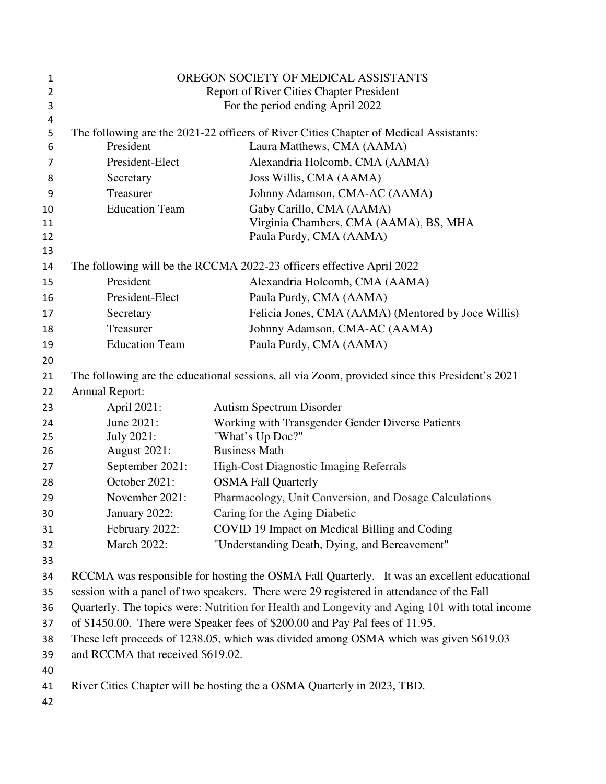| 1        | OREGON SOCIETY OF MEDICAL ASSISTANTS                                                           |                                                                                       |
|----------|------------------------------------------------------------------------------------------------|---------------------------------------------------------------------------------------|
| 2        | Report of River Cities Chapter President                                                       |                                                                                       |
| 3        | For the period ending April 2022                                                               |                                                                                       |
| 4        |                                                                                                |                                                                                       |
| 5        | President                                                                                      | The following are the 2021-22 officers of River Cities Chapter of Medical Assistants: |
| 6        |                                                                                                | Laura Matthews, CMA (AAMA)                                                            |
| 7        | President-Elect                                                                                | Alexandria Holcomb, CMA (AAMA)                                                        |
| 8        | Secretary                                                                                      | Joss Willis, CMA (AAMA)                                                               |
| 9        | Treasurer                                                                                      | Johnny Adamson, CMA-AC (AAMA)                                                         |
| 10       | <b>Education Team</b>                                                                          | Gaby Carillo, CMA (AAMA)                                                              |
| 11<br>12 |                                                                                                | Virginia Chambers, CMA (AAMA), BS, MHA<br>Paula Purdy, CMA (AAMA)                     |
| 13       |                                                                                                |                                                                                       |
| 14       |                                                                                                | The following will be the RCCMA 2022-23 officers effective April 2022                 |
| 15       | President                                                                                      | Alexandria Holcomb, CMA (AAMA)                                                        |
| 16       | President-Elect                                                                                | Paula Purdy, CMA (AAMA)                                                               |
| 17       | Secretary                                                                                      | Felicia Jones, CMA (AAMA) (Mentored by Joce Willis)                                   |
| 18       | Treasurer                                                                                      | Johnny Adamson, CMA-AC (AAMA)                                                         |
| 19       | <b>Education Team</b>                                                                          | Paula Purdy, CMA (AAMA)                                                               |
| 20       |                                                                                                |                                                                                       |
| 21       | The following are the educational sessions, all via Zoom, provided since this President's 2021 |                                                                                       |
| 22       | <b>Annual Report:</b>                                                                          |                                                                                       |
| 23       | April 2021:                                                                                    | <b>Autism Spectrum Disorder</b>                                                       |
| 24       | June 2021:                                                                                     | Working with Transgender Gender Diverse Patients                                      |
| 25       | <b>July 2021:</b>                                                                              | "What's Up Doc?"                                                                      |
| 26       | <b>August 2021:</b>                                                                            | <b>Business Math</b>                                                                  |
| 27       | September 2021:                                                                                | High-Cost Diagnostic Imaging Referrals                                                |
| 28       | October 2021:                                                                                  | <b>OSMA Fall Quarterly</b>                                                            |
| 29       | November 2021:                                                                                 | Pharmacology, Unit Conversion, and Dosage Calculations                                |
| 30       | January 2022:                                                                                  | Caring for the Aging Diabetic                                                         |
| 31       | February 2022:                                                                                 | COVID 19 Impact on Medical Billing and Coding                                         |
| 32       | <b>March 2022:</b>                                                                             | "Understanding Death, Dying, and Bereavement"                                         |
| 33       |                                                                                                |                                                                                       |
| 34       | RCCMA was responsible for hosting the OSMA Fall Quarterly. It was an excellent educational     |                                                                                       |
| 35       | session with a panel of two speakers. There were 29 registered in attendance of the Fall       |                                                                                       |
| 36       | Quarterly. The topics were: Nutrition for Health and Longevity and Aging 101 with total income |                                                                                       |
| 37       | of \$1450.00. There were Speaker fees of \$200.00 and Pay Pal fees of 11.95.                   |                                                                                       |
| 38       | These left proceeds of 1238.05, which was divided among OSMA which was given \$619.03          |                                                                                       |
| 39       | and RCCMA that received \$619.02.                                                              |                                                                                       |
| 40       |                                                                                                |                                                                                       |
| 41       |                                                                                                | River Cities Chapter will be hosting the a OSMA Quarterly in 2023, TBD.               |
| 42       |                                                                                                |                                                                                       |